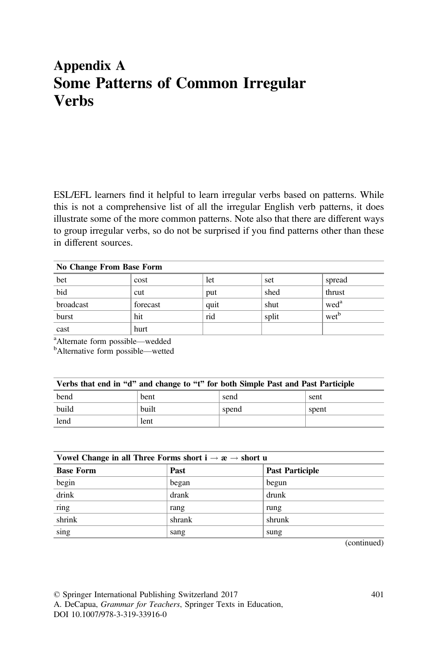# Appendix A Some Patterns of Common Irregular Verbs

ESL/EFL learners find it helpful to learn irregular verbs based on patterns. While this is not a comprehensive list of all the irregular English verb patterns, it does illustrate some of the more common patterns. Note also that there are different ways to group irregular verbs, so do not be surprised if you find patterns other than these in different sources.

#### No Change From Base Form

| $\overline{\phantom{a}}$ |          |      |       |                  |
|--------------------------|----------|------|-------|------------------|
| bet                      | cost     | let  | set   | spread           |
| bid                      | cut      | put  | shed  | thrust           |
| broadcast                | forecast | quit | shut  | wed <sup>a</sup> |
| burst                    | hit      | rid  | split | wet <sup>b</sup> |
| cast                     | hurt     |      |       |                  |

<sup>a</sup> Alternate form possible—wedded  $\frac{b}{b}$  Alternative form possible—wetter

<sup>b</sup>Alternative form possible—wetted

| Verbs that end in "d" and change to "t" for both Simple Past and Past Participle |              |       |       |
|----------------------------------------------------------------------------------|--------------|-------|-------|
| bend                                                                             | <b>bent</b>  | send  | sent  |
| build                                                                            | <b>built</b> | spend | spent |
| lend                                                                             | lent         |       |       |

| Vowel Change in all Three Forms short $i \rightarrow \mathbf{x} \rightarrow$ short u |        |                        |
|--------------------------------------------------------------------------------------|--------|------------------------|
| <b>Base Form</b>                                                                     | Past   | <b>Past Participle</b> |
| begin                                                                                | began  | begun                  |
| drink                                                                                | drank  | drunk                  |
| ring                                                                                 | rang   | rung                   |
| shrink                                                                               | shrank | shrunk                 |
| sing                                                                                 | sang   | sung                   |

(continued)

© Springer International Publishing Switzerland 2017 A. DeCapua, Grammar for Teachers, Springer Texts in Education, DOI 10.1007/978-3-319-33916-0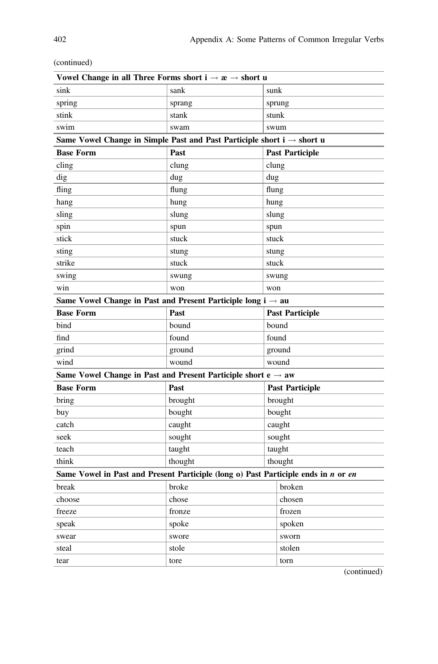| Vowel Change in all Three Forms short $i \rightarrow \mathbf{r} \rightarrow$ short u      |         |       |                        |  |
|-------------------------------------------------------------------------------------------|---------|-------|------------------------|--|
| sink                                                                                      | sank    | sunk  |                        |  |
| spring                                                                                    | sprang  |       | sprung                 |  |
| stink                                                                                     | stank   | stunk |                        |  |
| swim                                                                                      | swam    | swum  |                        |  |
| Same Vowel Change in Simple Past and Past Participle short $i \rightarrow short u$        |         |       |                        |  |
| <b>Base Form</b>                                                                          | Past    |       | <b>Past Participle</b> |  |
| cling                                                                                     | clung   | clung |                        |  |
| dig                                                                                       | dug     | dug   |                        |  |
| fling                                                                                     | flung   | flung |                        |  |
| hang                                                                                      | hung    | hung  |                        |  |
| sling                                                                                     | slung   | slung |                        |  |
| spin                                                                                      | spun    | spun  |                        |  |
| stick                                                                                     | stuck   | stuck |                        |  |
| sting                                                                                     | stung   | stung |                        |  |
| strike                                                                                    | stuck   | stuck |                        |  |
| swing                                                                                     | swung   |       | swung                  |  |
| win                                                                                       | won     | won   |                        |  |
| Same Vowel Change in Past and Present Participle long $i \rightarrow au$                  |         |       |                        |  |
| <b>Base Form</b>                                                                          | Past    |       | <b>Past Participle</b> |  |
| bind                                                                                      | bound   |       | bound                  |  |
| find                                                                                      | found   | found |                        |  |
| grind                                                                                     | ground  |       | ground                 |  |
| wind                                                                                      | wound   |       | wound                  |  |
| Same Vowel Change in Past and Present Participle short $e \rightarrow aw$                 |         |       |                        |  |
| <b>Base Form</b>                                                                          | Past    |       | <b>Past Participle</b> |  |
| bring                                                                                     | brought |       | brought                |  |
| buy                                                                                       | bought  |       | bought                 |  |
| catch                                                                                     | caught  |       | caught                 |  |
| seek                                                                                      | sought  |       | sought                 |  |
| teach                                                                                     | taught  |       | taught                 |  |
| think                                                                                     | thought |       | thought                |  |
| Same Vowel in Past and Present Participle (long $o$ ) Past Participle ends in $n$ or $en$ |         |       |                        |  |
| break                                                                                     | broke   |       | broken                 |  |
| choose                                                                                    | chose   |       | chosen                 |  |
| freeze                                                                                    | fronze  |       | frozen                 |  |
| speak                                                                                     | spoke   |       | spoken                 |  |
| swear                                                                                     | swore   |       | sworn                  |  |
| steal                                                                                     | stole   |       | stolen                 |  |
| tear                                                                                      | tore    |       | torn                   |  |

(continued)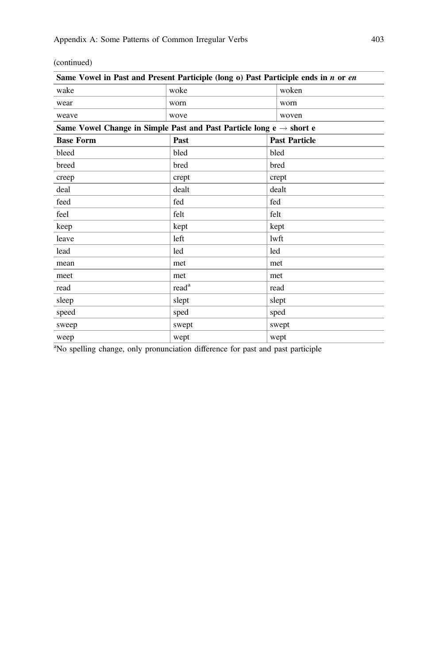| Same Vowel in Past and Present Participle (long o) Past Participle ends in <i>n</i> or <i>en</i> |                   |                      |  |  |
|--------------------------------------------------------------------------------------------------|-------------------|----------------------|--|--|
| wake                                                                                             | woke              | woken                |  |  |
| wear                                                                                             | worn              | worn                 |  |  |
| weave                                                                                            | wove              | woven                |  |  |
| Same Vowel Change in Simple Past and Past Particle long $e \rightarrow short e$                  |                   |                      |  |  |
| <b>Base Form</b>                                                                                 | Past              | <b>Past Particle</b> |  |  |
| bleed                                                                                            | bled              | bled                 |  |  |
| breed                                                                                            | bred              | bred                 |  |  |
| creep                                                                                            | crept             | crept                |  |  |
| deal                                                                                             | dealt             | dealt                |  |  |
| feed                                                                                             | fed               | fed                  |  |  |
| feel                                                                                             | felt              | felt                 |  |  |
| keep                                                                                             | kept              | kept                 |  |  |
| leave                                                                                            | left              | lwft                 |  |  |
| lead                                                                                             | led               | led                  |  |  |
| mean                                                                                             | met               | met                  |  |  |
| meet                                                                                             | met               | met                  |  |  |
| read                                                                                             | read <sup>a</sup> | read                 |  |  |
| sleep                                                                                            | slept             | slept                |  |  |
| speed                                                                                            | sped              | sped                 |  |  |
| sweep                                                                                            | swept             | swept                |  |  |
| weep                                                                                             | wept              | wept                 |  |  |

## (continued)

<sup>a</sup>No spelling change, only pronunciation difference for past and past participle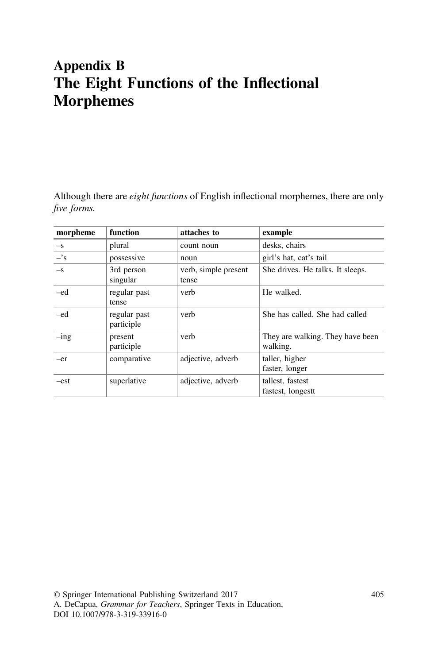# Appendix B The Eight Functions of the Inflectional Morphemes

Although there are eight functions of English inflectional morphemes, there are only five forms.

| morpheme | function                   | attaches to                   | example                                      |
|----------|----------------------------|-------------------------------|----------------------------------------------|
| $-S$     | plural                     | count noun                    | desks, chairs                                |
| $-$ 's   | possessive                 | noun                          | girl's hat, cat's tail                       |
| $-S$     | 3rd person<br>singular     | verb, simple present<br>tense | She drives. He talks. It sleeps.             |
| -ed      | regular past<br>tense      | verb                          | He walked.                                   |
| -ed      | regular past<br>participle | verb                          | She has called. She had called               |
| $-$ ing  | present<br>participle      | verb                          | They are walking. They have been<br>walking. |
| -er      | comparative                | adjective, adverb             | taller, higher<br>faster, longer             |
| $-est$   | superlative                | adjective, adverb             | tallest, fastest<br>fastest, longestt        |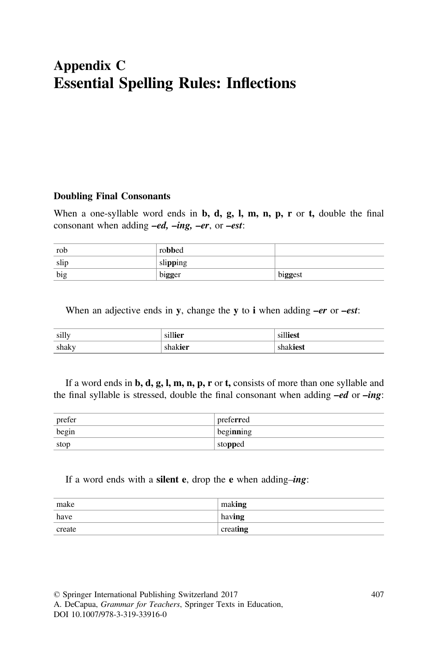# Appendix C Essential Spelling Rules: Inflections

#### Doubling Final Consonants

When a one-syllable word ends in b, d, g, l, m, n, p, r or t, double the final consonant when adding  $-e$ *d*,  $-i$ *ng*,  $-e$ *r*, or  $-e$ *st*:

| rob  | robbed   |         |
|------|----------|---------|
| slip | slipping |         |
| big  | bigger   | biggest |

When an adjective ends in y, change the y to i when adding  $-er$  or  $-est$ :

| silly | $\sim$ 11: $\sim$<br>мпист | 112.84        |
|-------|----------------------------|---------------|
| shak  | ier                        | iect<br>лісэі |

If a word ends in b, d, g, l, m, n, p, r or t, consists of more than one syllable and the final syllable is stressed, double the final consonant when adding  $-e$ d or  $-$ ing:

| prefer | preferred |
|--------|-----------|
| begin  | beginning |
| stop   | stopped   |

If a word ends with a **silent e**, drop the **e** when adding-ing:

| make   | making   |
|--------|----------|
| have   | having   |
| create | creating |

© Springer International Publishing Switzerland 2017 A. DeCapua, Grammar for Teachers, Springer Texts in Education, DOI 10.1007/978-3-319-33916-0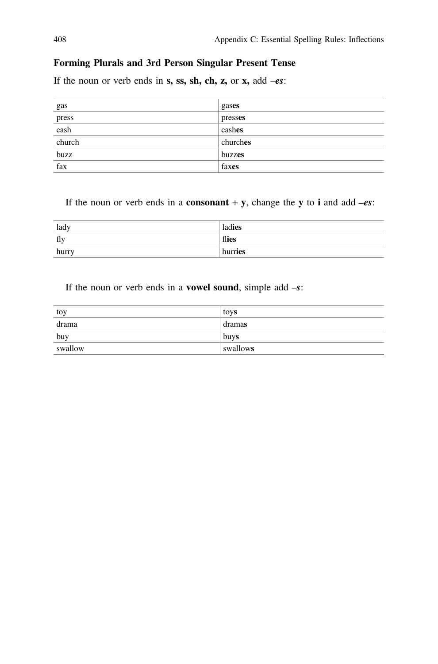## Forming Plurals and 3rd Person Singular Present Tense

If the noun or verb ends in  $s$ ,  $ss$ ,  $sh$ ,  $ch$ ,  $z$ , or  $x$ , add  $-es$ :

| gas    | gases    |
|--------|----------|
| press  | presses  |
| cash   | cashes   |
| church | churches |
| buzz   | buzzes   |
| fax    | faxes    |

## If the noun or verb ends in a **consonant** + y, change the y to i and add  $-es$ :

| lady  | ladies  |
|-------|---------|
| fly   | flies   |
| hurry | hurries |

## If the noun or verb ends in a **vowel sound**, simple add  $-s$ :

| toy     | tovs     |
|---------|----------|
| drama   | dramas   |
| buy     | buys     |
| swallow | swallows |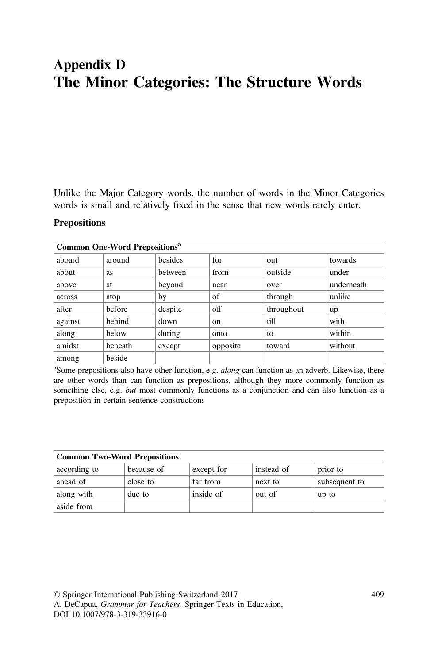## Appendix D The Minor Categories: The Structure Words

Unlike the Major Category words, the number of words in the Minor Categories words is small and relatively fixed in the sense that new words rarely enter.

## **Prepositions**

| <b>Common One-Word Prepositions<sup>a</sup></b> |           |         |             |            |            |
|-------------------------------------------------|-----------|---------|-------------|------------|------------|
| aboard                                          | around    | besides | for         | out        | towards    |
| about                                           | <b>as</b> | hetween | from        | outside    | under      |
| above                                           | at.       | beyond  | near        | over       | underneath |
| across                                          | atop      | by      | of          | through    | unlike     |
| after                                           | before    | despite | $\alpha$ ff | throughout | up         |
| against                                         | behind    | down    | on          | till       | with       |
| along                                           | below     | during  | onto        | to         | within     |
| amidst                                          | beneath   | except  | opposite    | toward     | without    |
| among                                           | beside    |         |             |            |            |

<sup>a</sup>Some prepositions also have other function, e.g. *along* can function as an adverb. Likewise, there are other words than can function as prepositions, although they more commonly function as something else, e.g. *but* most commonly functions as a conjunction and can also function as a preposition in certain sentence constructions

| <b>Common Two-Word Prepositions</b> |            |            |            |               |  |  |
|-------------------------------------|------------|------------|------------|---------------|--|--|
| according to                        | because of | except for | instead of | prior to      |  |  |
| ahead of                            | close to   | far from   | next to    | subsequent to |  |  |
| along with                          | due to     | inside of  | out of     | up to         |  |  |
| aside from                          |            |            |            |               |  |  |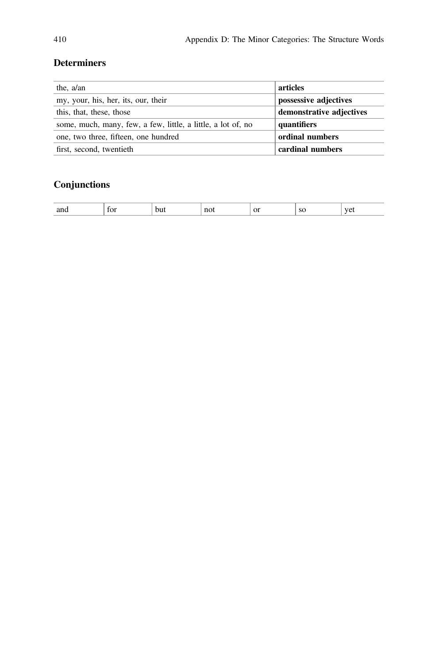## <span id="page-7-0"></span>Determiners

| the, $a$ /an                                                 | articles                 |
|--------------------------------------------------------------|--------------------------|
| my, your, his, her, its, our, their                          | possessive adjectives    |
| this, that, these, those                                     | demonstrative adjectives |
| some, much, many, few, a few, little, a little, a lot of, no | quantifiers              |
| one, two three, fifteen, one hundred                         | ordinal numbers          |
| first, second, twentieth                                     | cardinal numbers         |

## Conjunctions

| and | tor | but | not | or | <sub>SO</sub> | $\cdots$<br>ັ |
|-----|-----|-----|-----|----|---------------|---------------|
|     |     |     |     |    |               |               |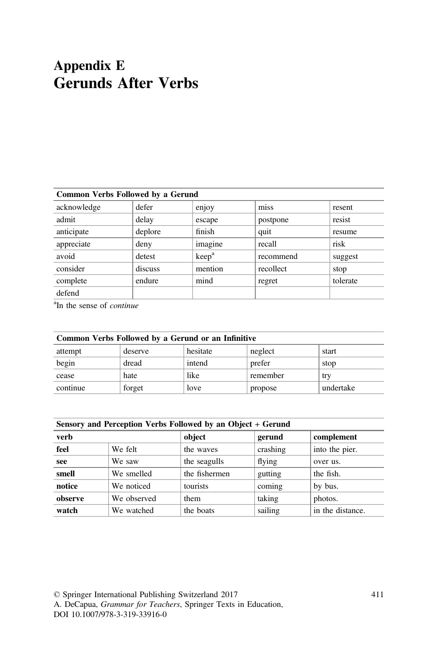# Appendix E Gerunds After Verbs

| Common Verbs Followed by a Gerund |  |  |  |  |
|-----------------------------------|--|--|--|--|
|-----------------------------------|--|--|--|--|

| acknowledge | defer   | enjoy             | miss      | resent   |
|-------------|---------|-------------------|-----------|----------|
| admit       | delay   | escape            | postpone  | resist   |
| anticipate  | deplore | finish            | quit      | resume   |
| appreciate  | deny    | imagine           | recall    | risk     |
| avoid       | detest  | keep <sup>a</sup> | recommend | suggest  |
| consider    | discuss | mention           | recollect | stop     |
| complete    | endure  | mind              | regret    | tolerate |
| defend      |         |                   |           |          |

<sup>a</sup>In the sense of *continue* 

| Common Verbs Followed by a Gerund or an Infinitive |         |          |          |           |  |
|----------------------------------------------------|---------|----------|----------|-----------|--|
| attempt                                            | deserve | hesitate | neglect  | start     |  |
| begin                                              | dread   | intend   | prefer   | stop      |  |
| cease                                              | hate    | like     | remember | trv       |  |
| continue                                           | forget  | love     | propose  | undertake |  |

| Sensory and Perception Verbs Followed by an Object + Gerund |             |               |          |                  |  |
|-------------------------------------------------------------|-------------|---------------|----------|------------------|--|
| verb                                                        |             | object        | gerund   | complement       |  |
| feel                                                        | We felt     | the waves     | crashing | into the pier.   |  |
| see                                                         | We saw      | the seagulls  | flying   | over us.         |  |
| smell                                                       | We smelled  | the fishermen | gutting  | the fish.        |  |
| notice                                                      | We noticed  | tourists      | coming   | by bus.          |  |
| observe                                                     | We observed | them          | taking   | photos.          |  |
| watch                                                       | We watched  | the boats     | sailing  | in the distance. |  |

© Springer International Publishing Switzerland 2017 A. DeCapua, Grammar for Teachers, Springer Texts in Education, DOI 10.1007/978-3-319-33916-0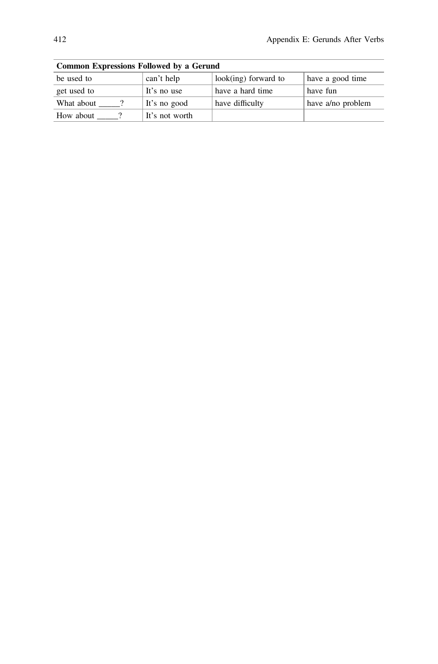| Common Expressions Followed by a Gerund |                |                      |                   |  |  |
|-----------------------------------------|----------------|----------------------|-------------------|--|--|
| be used to                              | can't help     | look(ing) forward to | have a good time  |  |  |
| get used to                             | It's no use    | have a hard time     | have fun          |  |  |
| What about                              | It's no good   | have difficulty      | have a/no problem |  |  |
| How about                               | It's not worth |                      |                   |  |  |

Common Expressions Followed by a Gerund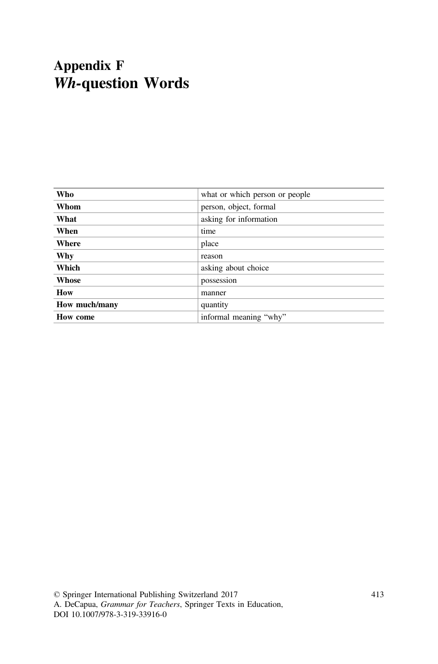# Appendix F Wh-question Words

| Who             | what or which person or people |
|-----------------|--------------------------------|
| Whom            | person, object, formal         |
| What            | asking for information         |
| When            | time                           |
| Where           | place                          |
| Why             | reason                         |
| Which           | asking about choice            |
| Whose           | possession                     |
| How             | manner                         |
| How much/many   | quantity                       |
| <b>How come</b> | informal meaning "why"         |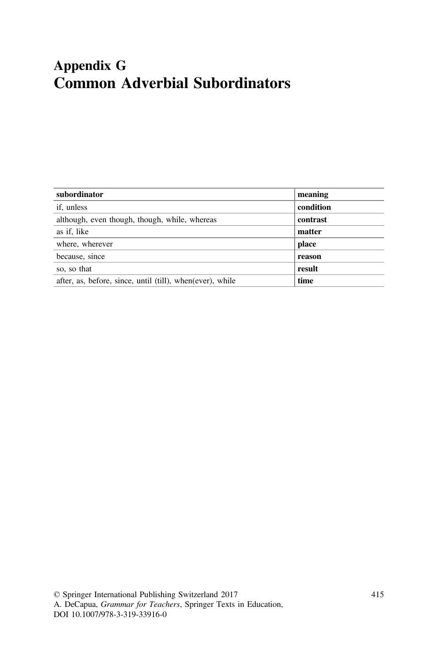# Appendix G Common Adverbial Subordinators

| subordinator                                               | meaning   |
|------------------------------------------------------------|-----------|
| if, unless                                                 | condition |
| although, even though, though, while, whereas              | contrast  |
| as if, like                                                | matter    |
| where, wherever                                            | place     |
| because, since                                             | reason    |
| so, so that                                                | result    |
| after, as, before, since, until (till), when (ever), while | time      |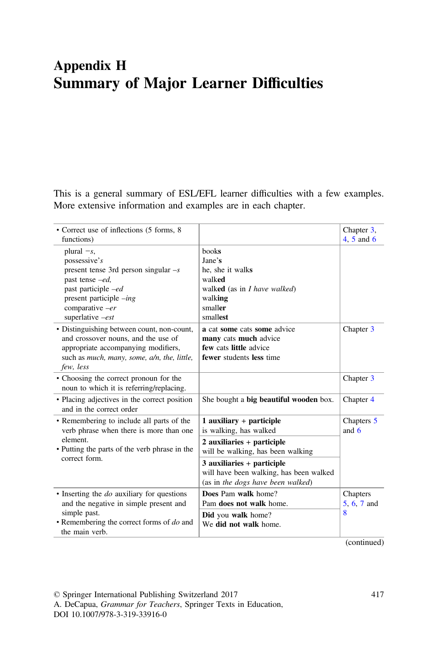# Appendix H Summary of Major Learner Difficulties

This is a general summary of ESL/EFL learner difficulties with a few examples. More extensive information and examples are in each chapter.

| • Correct use of inflections (5 forms, 8<br>functions)         |                                         | Chapter 3,<br>4, 5 and 6 |
|----------------------------------------------------------------|-----------------------------------------|--------------------------|
|                                                                |                                         |                          |
| plural $-s$ ,                                                  | books<br>Jane's                         |                          |
| possessive's                                                   |                                         |                          |
| present tense 3rd person singular $-s$                         | he, she it walks                        |                          |
| past tense $-ed$ .                                             | walked                                  |                          |
| past participle $-ed$                                          | walked (as in I have walked)            |                          |
| present participle $-$ <i>ing</i>                              | walking<br>smaller                      |                          |
| comparative $-er$                                              | smallest                                |                          |
| superlative $-est$                                             |                                         |                          |
| • Distinguishing between count, non-count,                     | a cat some cats some advice             | Chapter 3                |
| and crossover nouns, and the use of                            | many cats much advice                   |                          |
| appropriate accompanying modifiers,                            | few cats little advice                  |                          |
| such as much, many, some, a/n, the, little,                    | fewer students less time                |                          |
| few, less                                                      |                                         |                          |
| • Choosing the correct pronoun for the                         |                                         | Chapter 3                |
| noun to which it is referring/replacing.                       |                                         |                          |
| • Placing adjectives in the correct position                   | She bought a big beautiful wooden box.  | Chapter 4                |
| and in the correct order                                       |                                         |                          |
| • Remembering to include all parts of the                      | 1 auxiliary + participle                | Chapters 5               |
| verb phrase when there is more than one                        | is walking, has walked                  | and $6$                  |
| element.                                                       | 2 auxiliaries + participle              |                          |
| • Putting the parts of the verb phrase in the<br>correct form. | will be walking, has been walking       |                          |
|                                                                | 3 auxiliaries + participle              |                          |
|                                                                | will have been walking, has been walked |                          |
|                                                                | (as in the dogs have been walked)       |                          |
| $\bullet$ Inserting the <i>do</i> auxiliary for questions      | Does Pam walk home?                     | Chapters                 |
| and the negative in simple present and                         | Pam does not walk home.                 | 5, 6, 7 and              |
| simple past.                                                   |                                         | 8                        |
| • Remembering the correct forms of do and                      | Did you walk home?                      |                          |
| the main verb.                                                 | We did not walk home.                   |                          |
|                                                                |                                         | (1)                      |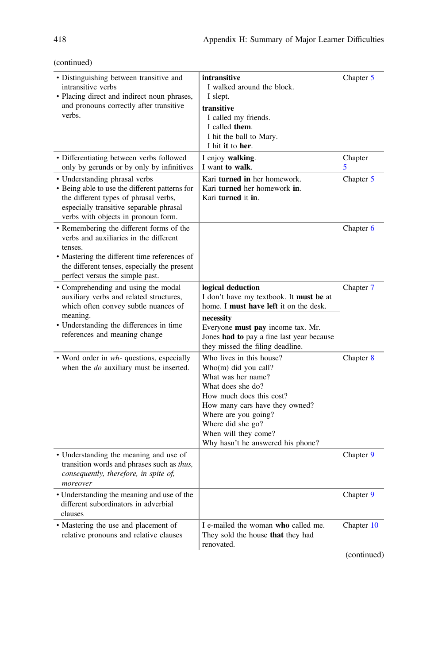| • Distinguishing between transitive and<br>intransitive verbs<br>• Placing direct and indirect noun phrases,<br>and pronouns correctly after transitive<br>verbs.                                                                | intransitive<br>I walked around the block.<br>I slept.<br>transitive<br>I called my friends.<br>I called them.<br>I hit the ball to Mary.<br>I hit it to her.                                                                                                       | Chapter 5    |
|----------------------------------------------------------------------------------------------------------------------------------------------------------------------------------------------------------------------------------|---------------------------------------------------------------------------------------------------------------------------------------------------------------------------------------------------------------------------------------------------------------------|--------------|
| • Differentiating between verbs followed<br>only by gerunds or by only by infinitives                                                                                                                                            | I enjoy walking.<br>I want to walk.                                                                                                                                                                                                                                 | Chapter<br>5 |
| • Understanding phrasal verbs<br>• Being able to use the different patterns for<br>the different types of phrasal verbs,<br>especially transitive separable phrasal<br>verbs with objects in pronoun form.                       | Kari turned in her homework.<br>Kari turned her homework in.<br>Kari turned it in.                                                                                                                                                                                  | Chapter 5    |
| • Remembering the different forms of the<br>verbs and auxiliaries in the different<br>tenses.<br>• Mastering the different time references of<br>the different tenses, especially the present<br>perfect versus the simple past. |                                                                                                                                                                                                                                                                     | Chapter 6    |
| • Comprehending and using the modal<br>auxiliary verbs and related structures,<br>which often convey subtle nuances of<br>meaning.<br>• Understanding the differences in time<br>references and meaning change                   | logical deduction<br>I don't have my textbook. It must be at<br>home. I must have left it on the desk.<br>necessity<br>Everyone must pay income tax. Mr.<br>Jones had to pay a fine last year because<br>they missed the filing deadline.                           | Chapter 7    |
| • Word order in wh- questions, especially<br>when the <i>do</i> auxiliary must be inserted.                                                                                                                                      | Who lives in this house?<br>Who(m) did you call?<br>What was her name?<br>What does she do?<br>How much does this cost?<br>How many cars have they owned?<br>Where are you going?<br>Where did she go?<br>When will they come?<br>Why hasn't he answered his phone? | Chapter 8    |
| • Understanding the meaning and use of<br>transition words and phrases such as thus,<br>consequently, therefore, in spite of,<br>moreover                                                                                        |                                                                                                                                                                                                                                                                     | Chapter 9    |
| • Understanding the meaning and use of the<br>different subordinators in adverbial<br>clauses                                                                                                                                    |                                                                                                                                                                                                                                                                     | Chapter 9    |
| • Mastering the use and placement of<br>relative pronouns and relative clauses                                                                                                                                                   | I e-mailed the woman who called me.<br>They sold the house that they had<br>renovated.                                                                                                                                                                              | Chapter 10   |
|                                                                                                                                                                                                                                  |                                                                                                                                                                                                                                                                     |              |

<span id="page-13-0"></span>(continued)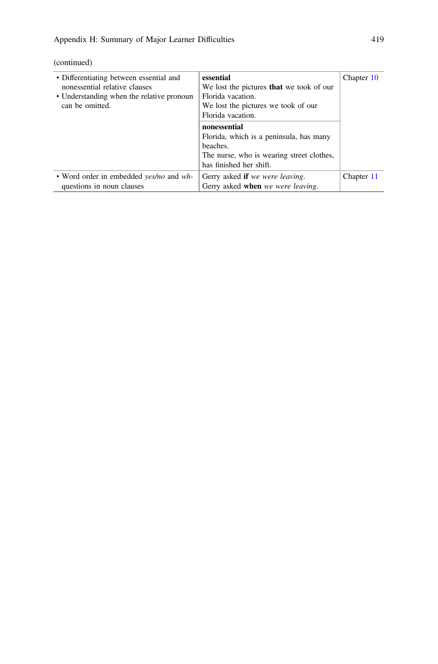| • Differentiating between essential and                | essential                                       | Chapter 10 |
|--------------------------------------------------------|-------------------------------------------------|------------|
| nonessential relative clauses                          | We lost the pictures <b>that</b> we took of our |            |
| • Understanding when the relative pronoun              | Florida vacation.                               |            |
| can be omitted.                                        | We lost the pictures we took of our             |            |
|                                                        | Florida vacation.                               |            |
|                                                        | nonessential                                    |            |
|                                                        | Florida, which is a peninsula, has many         |            |
|                                                        | beaches.                                        |            |
|                                                        | The nurse, who is wearing street clothes,       |            |
|                                                        | has finished her shift.                         |            |
| • Word order in embedded <i>yes/no</i> and <i>wh</i> - | Gerry asked <b>if</b> we were leaving.          | Chapter 11 |
| questions in noun clauses                              | Gerry asked when we were leaving.               |            |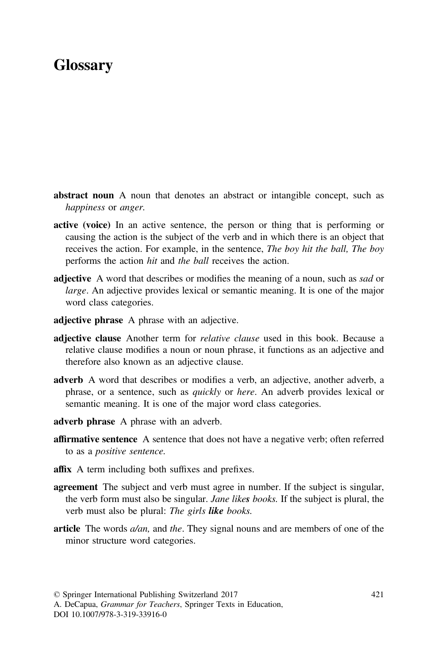## **Glossary**

- abstract noun A noun that denotes an abstract or intangible concept, such as happiness or anger.
- active (voice) In an active sentence, the person or thing that is performing or causing the action is the subject of the verb and in which there is an object that receives the action. For example, in the sentence, *The boy hit the ball*, *The boy* performs the action hit and the ball receives the action.
- adjective A word that describes or modifies the meaning of a noun, such as *sad* or large. An adjective provides lexical or semantic meaning. It is one of the major word class categories.
- adjective phrase A phrase with an adjective.
- adjective clause Another term for relative clause used in this book. Because a relative clause modifies a noun or noun phrase, it functions as an adjective and therefore also known as an adjective clause.
- adverb A word that describes or modifies a verb, an adjective, another adverb, a phrase, or a sentence, such as quickly or here. An adverb provides lexical or semantic meaning. It is one of the major word class categories.
- adverb phrase A phrase with an adverb.
- affirmative sentence A sentence that does not have a negative verb; often referred to as a positive sentence.
- affix A term including both suffixes and prefixes.
- agreement The subject and verb must agree in number. If the subject is singular, the verb form must also be singular. Jane likes books. If the subject is plural, the verb must also be plural: The girls like books.
- article The words  $a/an$ , and the. They signal nouns and are members of one of the minor structure word categories.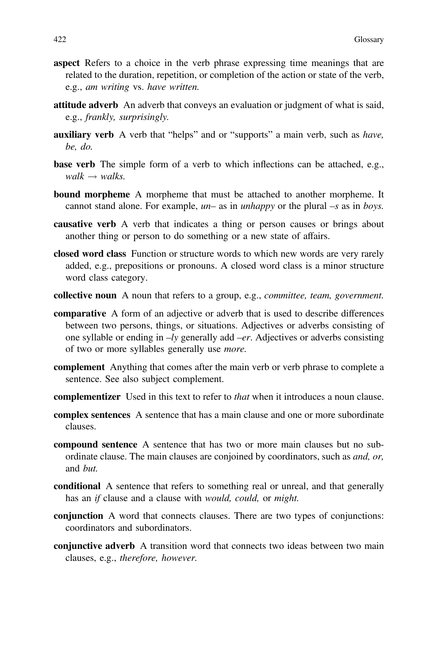- <span id="page-16-0"></span>aspect Refers to a choice in the verb phrase expressing time meanings that are related to the duration, repetition, or completion of the action or state of the verb, e.g., am writing vs. have written.
- attitude adverb An adverb that conveys an evaluation or judgment of what is said, e.g., frankly, surprisingly.
- **auxiliary verb** A verb that "helps" and or "supports" a main verb, such as *have*, be, do.
- base verb The simple form of a verb to which inflections can be attached, e.g., walk  $\rightarrow$  walks.
- bound morpheme A morpheme that must be attached to another morpheme. It cannot stand alone. For example,  $un-$  as in  $unhappy$  or the plural  $-s$  as in boys.
- causative verb A verb that indicates a thing or person causes or brings about another thing or person to do something or a new state of affairs.
- closed word class Function or structure words to which new words are very rarely added, e.g., prepositions or pronouns. A closed word class is a minor structure word class category.
- collective noun A noun that refers to a group, e.g., committee, team, government.
- comparative A form of an adjective or adverb that is used to describe differences between two persons, things, or situations. Adjectives or adverbs consisting of one syllable or ending in  $-ly$  generally add  $-er$ . Adjectives or adverbs consisting of two or more syllables generally use more.
- complement Anything that comes after the main verb or verb phrase to complete a sentence. See also subject complement.
- complementizer Used in this text to refer to that when it introduces a noun clause.
- complex sentences A sentence that has a main clause and one or more subordinate clauses.
- compound sentence A sentence that has two or more main clauses but no subordinate clause. The main clauses are conjoined by coordinators, such as *and, or,* and but.
- conditional A sentence that refers to something real or unreal, and that generally has an if clause and a clause with *would*, *could*, or *might*.
- conjunction A word that connects clauses. There are two types of conjunctions: coordinators and subordinators.
- conjunctive adverb A transition word that connects two ideas between two main clauses, e.g., therefore, however.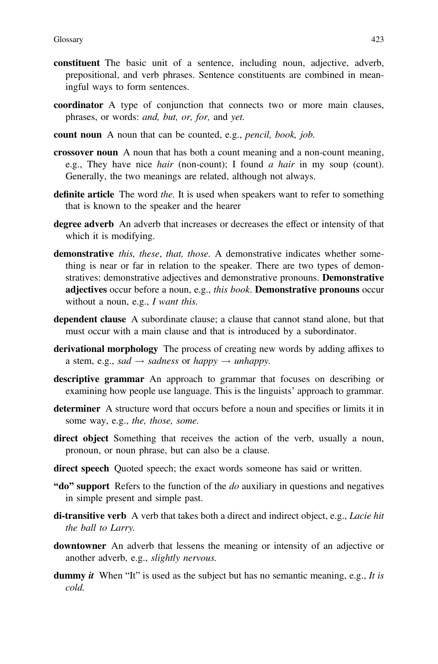- <span id="page-17-0"></span>constituent The basic unit of a sentence, including noun, adjective, adverb, prepositional, and verb phrases. Sentence constituents are combined in meaningful ways to form sentences.
- coordinator A type of conjunction that connects two or more main clauses, phrases, or words: and, but, or, for, and yet.
- count noun A noun that can be counted, e.g., pencil, book, job.
- crossover noun A noun that has both a count meaning and a non-count meaning, e.g., They have nice *hair* (non-count); I found a *hair* in my soup (count). Generally, the two meanings are related, although not always.
- definite article The word *the*. It is used when speakers want to refer to something that is known to the speaker and the hearer
- degree adverb An adverb that increases or decreases the effect or intensity of that which it is modifying.
- demonstrative this, these, that, those. A demonstrative indicates whether something is near or far in relation to the speaker. There are two types of demonstratives: demonstrative adjectives and demonstrative pronouns. Demonstrative adjectives occur before a noun, e.g., this book. Demonstrative pronouns occur without a noun, e.g., I want this.
- dependent clause A subordinate clause; a clause that cannot stand alone, but that must occur with a main clause and that is introduced by a subordinator.
- derivational morphology The process of creating new words by adding affixes to a stem, e.g., sad  $\rightarrow$  sadness or happy  $\rightarrow$  unhappy.
- descriptive grammar An approach to grammar that focuses on describing or examining how people use language. This is the linguists' approach to grammar.
- determiner A structure word that occurs before a noun and specifies or limits it in some way, e.g., the, those, some.
- direct object Something that receives the action of the verb, usually a noun, pronoun, or noun phrase, but can also be a clause.
- direct speech Quoted speech; the exact words someone has said or written.
- "do" support Refers to the function of the  $d\sigma$  auxiliary in questions and negatives in simple present and simple past.
- di-transitive verb A verb that takes both a direct and indirect object, e.g., *Lacie hit* the ball to Larry.
- downtowner An adverb that lessens the meaning or intensity of an adjective or another adverb, e.g., slightly nervous.
- dummy it When "It" is used as the subject but has no semantic meaning, e.g., It is cold.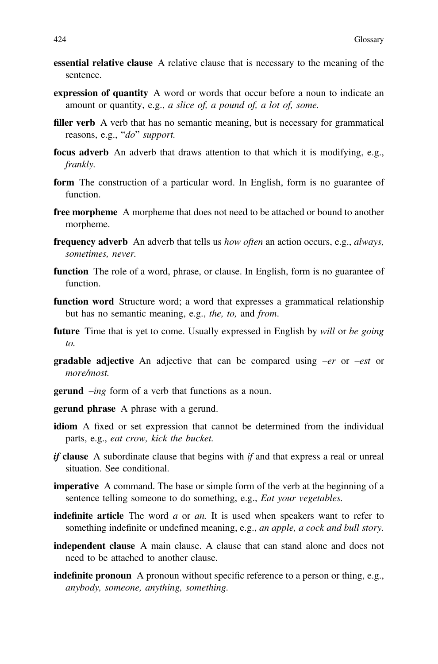- <span id="page-18-0"></span>essential relative clause A relative clause that is necessary to the meaning of the sentence.
- expression of quantity A word or words that occur before a noun to indicate an amount or quantity, e.g., a slice of, a pound of, a lot of, some.
- filler verb A verb that has no semantic meaning, but is necessary for grammatical reasons, e.g., "do" support.
- focus adverb An adverb that draws attention to that which it is modifying, e.g., frankly.
- form The construction of a particular word. In English, form is no guarantee of function.
- free morpheme A morpheme that does not need to be attached or bound to another morpheme.
- **frequency adverb** An adverb that tells us *how often* an action occurs, e.g., *always*, sometimes, never.
- function The role of a word, phrase, or clause. In English, form is no guarantee of function.
- function word Structure word; a word that expresses a grammatical relationship but has no semantic meaning, e.g., the, to, and from.
- **future** Time that is yet to come. Usually expressed in English by will or be going to.
- **gradable adjective** An adjective that can be compared using  $-er$  or  $-est$  or more/most.
- **gerund** –*ing* form of a verb that functions as a noun.
- gerund phrase A phrase with a gerund.
- idiom A fixed or set expression that cannot be determined from the individual parts, e.g., eat crow, kick the bucket.
- if clause A subordinate clause that begins with  $if$  and that express a real or unreal situation. See conditional.
- imperative A command. The base or simple form of the verb at the beginning of a sentence telling someone to do something, e.g., Eat your vegetables.
- **indefinite article** The word  $a$  or  $an$ . It is used when speakers want to refer to something indefinite or undefined meaning, e.g., an apple, a cock and bull story.
- independent clause A main clause. A clause that can stand alone and does not need to be attached to another clause.
- indefinite pronoun A pronoun without specific reference to a person or thing, e.g., anybody, someone, anything, something.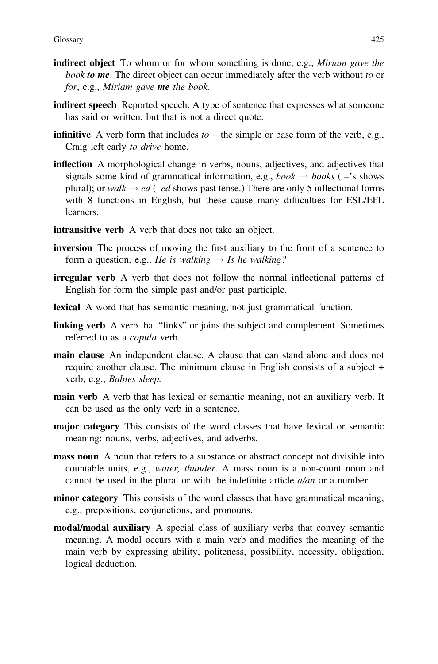- <span id="page-19-0"></span>**indirect object** To whom or for whom something is done, e.g., *Miriam gave the* book to me. The direct object can occur immediately after the verb without to or for, e.g., Miriam gave **me** the book.
- indirect speech Reported speech. A type of sentence that expresses what someone has said or written, but that is not a direct quote.
- **infinitive** A verb form that includes  $to +$  the simple or base form of the verb, e.g., Craig left early to drive home.
- inflection A morphological change in verbs, nouns, adjectives, and adjectives that signals some kind of grammatical information, e.g.,  $book \rightarrow books$  ( $-$ 's shows plural); or walk  $\rightarrow$  ed (–ed shows past tense.) There are only 5 inflectional forms with 8 functions in English, but these cause many difficulties for ESL/EFL learners.
- intransitive verb A verb that does not take an object.
- inversion The process of moving the first auxiliary to the front of a sentence to form a question, e.g., He is walking  $\rightarrow$  Is he walking?
- irregular verb A verb that does not follow the normal inflectional patterns of English for form the simple past and/or past participle.
- lexical A word that has semantic meaning, not just grammatical function.
- linking verb A verb that "links" or joins the subject and complement. Sometimes referred to as a copula verb.
- main clause An independent clause. A clause that can stand alone and does not require another clause. The minimum clause in English consists of a subject + verb, e.g., Babies sleep.
- main verb A verb that has lexical or semantic meaning, not an auxiliary verb. It can be used as the only verb in a sentence.
- major category This consists of the word classes that have lexical or semantic meaning: nouns, verbs, adjectives, and adverbs.
- mass noun A noun that refers to a substance or abstract concept not divisible into countable units, e.g., water, thunder. A mass noun is a non-count noun and cannot be used in the plural or with the indefinite article a/an or a number.
- minor category This consists of the word classes that have grammatical meaning, e.g., prepositions, conjunctions, and pronouns.
- modal/modal auxiliary A special class of auxiliary verbs that convey semantic meaning. A modal occurs with a main verb and modifies the meaning of the main verb by expressing ability, politeness, possibility, necessity, obligation, logical deduction.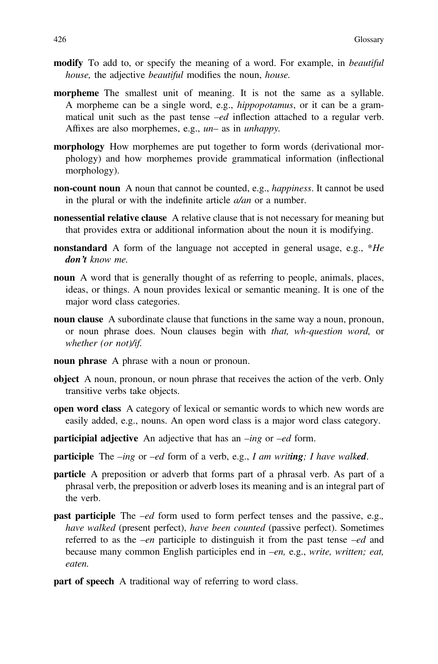- <span id="page-20-0"></span>modify To add to, or specify the meaning of a word. For example, in beautiful house, the adjective *beautiful* modifies the noun, house.
- morpheme The smallest unit of meaning. It is not the same as a syllable. A morpheme can be a single word, e.g., hippopotamus, or it can be a grammatical unit such as the past tense  $-ed$  inflection attached to a regular verb. Affixes are also morphemes, e.g., un– as in unhappy.
- morphology How morphemes are put together to form words (derivational morphology) and how morphemes provide grammatical information (inflectional morphology).
- non-count noun A noun that cannot be counted, e.g., happiness. It cannot be used in the plural or with the indefinite article  $a/an$  or a number.
- nonessential relative clause A relative clause that is not necessary for meaning but that provides extra or additional information about the noun it is modifying.
- nonstandard A form of the language not accepted in general usage, e.g., \*He don't know me.
- noun A word that is generally thought of as referring to people, animals, places, ideas, or things. A noun provides lexical or semantic meaning. It is one of the major word class categories.
- noun clause A subordinate clause that functions in the same way a noun, pronoun, or noun phrase does. Noun clauses begin with that, wh-question word, or whether (or not)/if.
- noun phrase A phrase with a noun or pronoun.
- object A noun, pronoun, or noun phrase that receives the action of the verb. Only transitive verbs take objects.
- open word class A category of lexical or semantic words to which new words are easily added, e.g., nouns. An open word class is a major word class category.
- **participial adjective** An adjective that has an  $-$ *ing* or  $-e$ *d* form.
- **participle** The  $-ing$  or  $-ed$  form of a verb, e.g., I am writing; I have walked.
- particle A preposition or adverb that forms part of a phrasal verb. As part of a phrasal verb, the preposition or adverb loses its meaning and is an integral part of the verb.
- **past participle** The  $-ed$  form used to form perfect tenses and the passive, e.g., have walked (present perfect), have been counted (passive perfect). Sometimes referred to as the –*en* participle to distinguish it from the past tense –*ed* and because many common English participles end in –en, e.g., write, written; eat, eaten.
- part of speech A traditional way of referring to word class.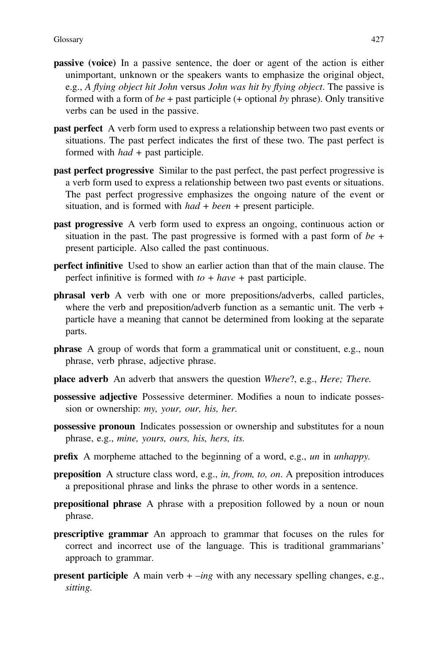- <span id="page-21-0"></span>passive (voice) In a passive sentence, the doer or agent of the action is either unimportant, unknown or the speakers wants to emphasize the original object, e.g., A flying object hit John versus John was hit by flying object. The passive is formed with a form of  $be +$  past participle (+ optional by phrase). Only transitive verbs can be used in the passive.
- past perfect A verb form used to express a relationship between two past events or situations. The past perfect indicates the first of these two. The past perfect is formed with  $had +$  past participle.
- past perfect progressive Similar to the past perfect, the past perfect progressive is a verb form used to express a relationship between two past events or situations. The past perfect progressive emphasizes the ongoing nature of the event or situation, and is formed with  $had + been + present$  present participle.
- past progressive A verb form used to express an ongoing, continuous action or situation in the past. The past progressive is formed with a past form of  $be +$ present participle. Also called the past continuous.
- perfect infinitive Used to show an earlier action than that of the main clause. The perfect infinitive is formed with  $to + have +$  past participle.
- phrasal verb A verb with one or more prepositions/adverbs, called particles, where the verb and preposition/adverb function as a semantic unit. The verb  $+$ particle have a meaning that cannot be determined from looking at the separate parts.
- phrase A group of words that form a grammatical unit or constituent, e.g., noun phrase, verb phrase, adjective phrase.
- place adverb An adverb that answers the question Where?, e.g., Here; There.
- possessive adjective Possessive determiner. Modifies a noun to indicate possession or ownership: *my*, *your*, *our*, *his*, *her.*
- possessive pronoun Indicates possession or ownership and substitutes for a noun phrase, e.g., mine, yours, ours, his, hers, its.
- prefix A morpheme attached to the beginning of a word, e.g., un in unhappy.
- preposition A structure class word, e.g., in, from, to, on. A preposition introduces a prepositional phrase and links the phrase to other words in a sentence.
- prepositional phrase A phrase with a preposition followed by a noun or noun phrase.
- prescriptive grammar An approach to grammar that focuses on the rules for correct and incorrect use of the language. This is traditional grammarians' approach to grammar.
- **present participle** A main verb  $+ -ing$  with any necessary spelling changes, e.g., sitting.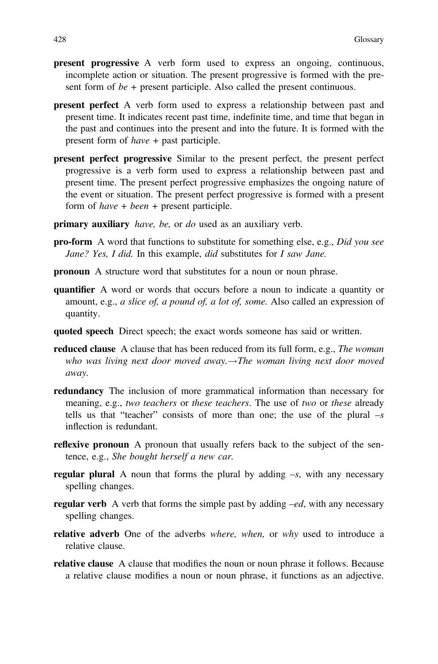- <span id="page-22-0"></span>present progressive A verb form used to express an ongoing, continuous, incomplete action or situation. The present progressive is formed with the present form of  $be +$  present participle. Also called the present continuous.
- present perfect A verb form used to express a relationship between past and present time. It indicates recent past time, indefinite time, and time that began in the past and continues into the present and into the future. It is formed with the present form of have + past participle.
- present perfect progressive Similar to the present perfect, the present perfect progressive is a verb form used to express a relationship between past and present time. The present perfect progressive emphasizes the ongoing nature of the event or situation. The present perfect progressive is formed with a present form of  $have + been + present$  participle.
- primary auxiliary *have, be, or do* used as an auxiliary verb.
- pro-form A word that functions to substitute for something else, e.g., Did you see Jane? Yes, I did. In this example, did substitutes for I saw Jane.
- pronoun A structure word that substitutes for a noun or noun phrase.
- quantifier A word or words that occurs before a noun to indicate a quantity or amount, e.g., *a slice of, a pound of, a lot of, some*. Also called an expression of quantity.
- quoted speech Direct speech; the exact words someone has said or written.
- reduced clause A clause that has been reduced from its full form, e.g., *The woman* who was living next door moved away. $\rightarrow$ The woman living next door moved away.
- redundancy The inclusion of more grammatical information than necessary for meaning, e.g., two teachers or these teachers. The use of two or these already tells us that "teacher" consists of more than one; the use of the plural  $-s$ inflection is redundant.
- reflexive pronoun A pronoun that usually refers back to the subject of the sentence, e.g., She bought herself a new car.
- **regular plural** A noun that forms the plural by adding  $-s$ , with any necessary spelling changes.
- regular verb A verb that forms the simple past by adding  $-e$ d, with any necessary spelling changes.
- **relative adverb** One of the adverbs *where, when,* or *why* used to introduce a relative clause.
- relative clause A clause that modifies the noun or noun phrase it follows. Because a relative clause modifies a noun or noun phrase, it functions as an adjective.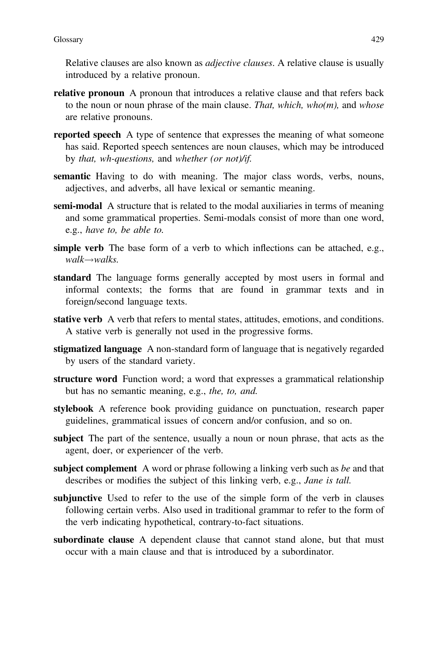<span id="page-23-0"></span>Relative clauses are also known as *adjective clauses*. A relative clause is usually introduced by a relative pronoun.

- relative pronoun A pronoun that introduces a relative clause and that refers back to the noun or noun phrase of the main clause. That, which, who  $(m)$ , and whose are relative pronouns.
- reported speech A type of sentence that expresses the meaning of what someone has said. Reported speech sentences are noun clauses, which may be introduced by that, wh-questions, and whether (or not)/if.
- semantic Having to do with meaning. The major class words, verbs, nouns, adjectives, and adverbs, all have lexical or semantic meaning.
- semi-modal A structure that is related to the modal auxiliaries in terms of meaning and some grammatical properties. Semi-modals consist of more than one word, e.g., have to, be able to.
- simple verb The base form of a verb to which inflections can be attached, e.g.,  $walk \rightarrow walks$ .
- standard The language forms generally accepted by most users in formal and informal contexts; the forms that are found in grammar texts and in foreign/second language texts.
- stative verb A verb that refers to mental states, attitudes, emotions, and conditions. A stative verb is generally not used in the progressive forms.
- stigmatized language A non-standard form of language that is negatively regarded by users of the standard variety.
- structure word Function word; a word that expresses a grammatical relationship but has no semantic meaning, e.g., the, to, and.
- stylebook A reference book providing guidance on punctuation, research paper guidelines, grammatical issues of concern and/or confusion, and so on.
- subject The part of the sentence, usually a noun or noun phrase, that acts as the agent, doer, or experiencer of the verb.
- subject complement A word or phrase following a linking verb such as be and that describes or modifies the subject of this linking verb, e.g., *Jane is tall*.
- subjunctive Used to refer to the use of the simple form of the verb in clauses following certain verbs. Also used in traditional grammar to refer to the form of the verb indicating hypothetical, contrary-to-fact situations.
- subordinate clause A dependent clause that cannot stand alone, but that must occur with a main clause and that is introduced by a subordinator.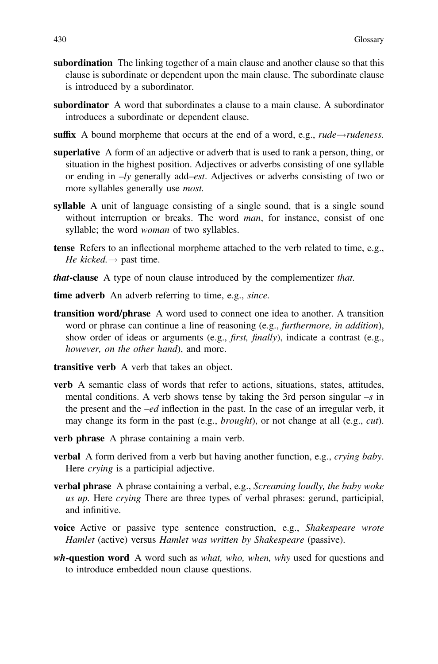- <span id="page-24-0"></span>subordination The linking together of a main clause and another clause so that this clause is subordinate or dependent upon the main clause. The subordinate clause is introduced by a subordinator.
- subordinator A word that subordinates a clause to a main clause. A subordinator introduces a subordinate or dependent clause.
- suffix A bound morpheme that occurs at the end of a word, e.g., *rude* $\rightarrow$ *rudeness.*
- superlative A form of an adjective or adverb that is used to rank a person, thing, or situation in the highest position. Adjectives or adverbs consisting of one syllable or ending in –ly generally add–est. Adjectives or adverbs consisting of two or more syllables generally use most.
- syllable A unit of language consisting of a single sound, that is a single sound without interruption or breaks. The word *man*, for instance, consist of one syllable; the word *woman* of two syllables.
- tense Refers to an inflectional morpheme attached to the verb related to time, e.g., He kicked. $\rightarrow$  past time.
- that-clause A type of noun clause introduced by the complementizer that.
- time adverb An adverb referring to time, e.g., since.
- transition word/phrase A word used to connect one idea to another. A transition word or phrase can continue a line of reasoning (e.g., *furthermore*, *in addition*), show order of ideas or arguments (e.g., *first, finally*), indicate a contrast (e.g., however, on the other hand), and more.
- transitive verb A verb that takes an object.
- verb A semantic class of words that refer to actions, situations, states, attitudes, mental conditions. A verb shows tense by taking the 3rd person singular  $-s$  in the present and the  $-e$ d inflection in the past. In the case of an irregular verb, it may change its form in the past (e.g., brought), or not change at all (e.g., cut).
- verb phrase A phrase containing a main verb.
- verbal A form derived from a verb but having another function, e.g., crying baby. Here crying is a participial adjective.
- verbal phrase A phrase containing a verbal, e.g., *Screaming loudly, the baby woke* us up. Here crying There are three types of verbal phrases: gerund, participial, and infinitive.
- voice Active or passive type sentence construction, e.g., Shakespeare wrote Hamlet (active) versus Hamlet was written by Shakespeare (passive).
- $wh$ -question word A word such as *what, who, when, why* used for questions and to introduce embedded noun clause questions.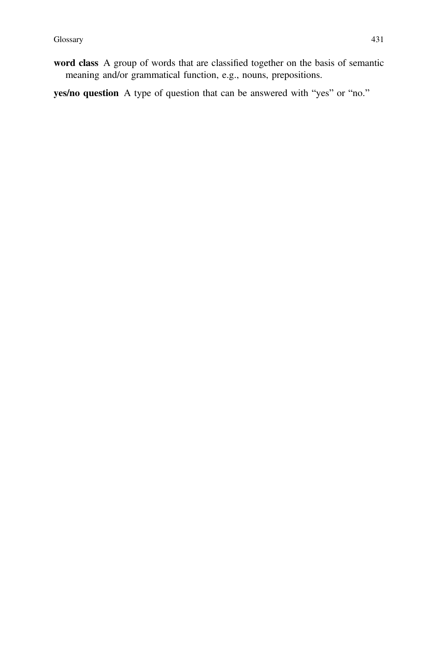<span id="page-25-0"></span>word class A group of words that are classified together on the basis of semantic meaning and/or grammatical function, e.g., nouns, prepositions.

yes/no question A type of question that can be answered with "yes" or "no."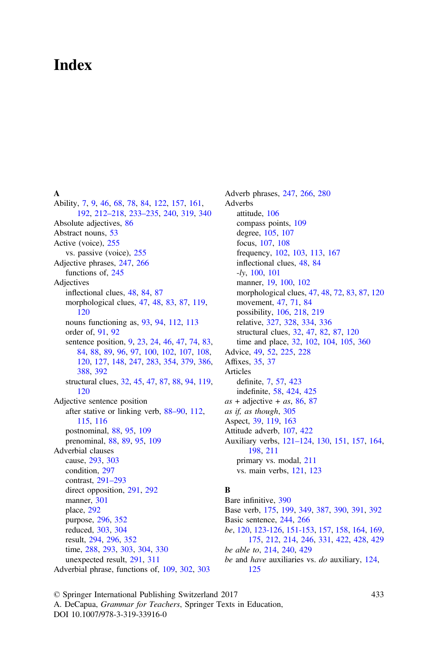## Index

A Ability, 7, 9, 46, 68, 78, 84, 122, 157, 161, 192, 212–218, 233–235, 240, 319, 340 Absolute adjectives, 86 Abstract nouns, 53 Active (voice), 255 vs. passive (voice), 255 Adjective phrases, 247, 266 functions of, 245 Adjectives inflectional clues, 48, 84, 87 morphological clues, 47, 48, 83, 87, 119, 120 nouns functioning as, 93, 94, 112, 113 order of, 91, 92 sentence position, 9, 23, 24, 46, 47, 74, 83, 84, 88, 89, 96, 97, 100, 102, 107, 108, 120, 127, 148, 247, 283, 354, 379, 386, 388, 392 structural clues, 32, 45, 47, 87, 88, 94, 119, 120 Adjective sentence position after stative or linking verb, 88–90, 112, 115, 116 postnominal, 88, 95, 109 prenominal, 88, 89, 95, 109 Adverbial clauses cause, 293, 303 condition, 297 contrast, 291–293 direct opposition, 291, 292 manner, 301 place, 292 purpose, 296, 352 reduced, 303, 304 result, 294, 296, 352 time, 288, 293, 303, 304, 330 unexpected result, 291, 311 Adverbial phrase, functions of, 109, 302, 303

Adverb phrases, 247, 266, 280 Adverbs attitude, 106 compass points, 109 degree, 105, 107 focus, 107, 108 frequency, 102, 103, 113, 167 inflectional clues, 48, 84 -ly, 100, 101 manner, 19, 100, 102 morphological clues, 47, 48, 72, 83, 87, 120 movement, 47, 71, 84 possibility, 106, 218, 219 relative, 327, 328, 334, 336 structural clues, 32, 47, 82, 87, 120 time and place, 32, 102, 104, 105, 360 Advice, 49, 52, 225, 228 Affixes, 35, 37 Articles definite, 7, 57, [423](#page-17-0) indefinite, 58, [424](#page-18-0), [425](#page-19-0)  $as +$ adjective + as, 86, 87 as if, as though, 305 Aspect, 39, 119, 163 Attitude adverb, 107, [422](#page-16-0) Auxiliary verbs, 121–124, 130, 151, 157, 164, 198, 211 primary vs. modal, 211 vs. main verbs, 121, 123

### B

Bare infinitive, 390 Base verb, 175, 199, 349, 387, 390, 391, 392 Basic sentence, 244, 266 be, 120, 123-126, 151-153, 157, 158, 164, 169, 175, 212, 214, 246, 331, [422](#page-16-0), [428,](#page-22-0) [429](#page-23-0) be able to, 214, 240, [429](#page-23-0) be and have auxiliaries vs. do auxiliary, 124, 125

© Springer International Publishing Switzerland 2017 A. DeCapua, Grammar for Teachers, Springer Texts in Education, DOI 10.1007/978-3-319-33916-0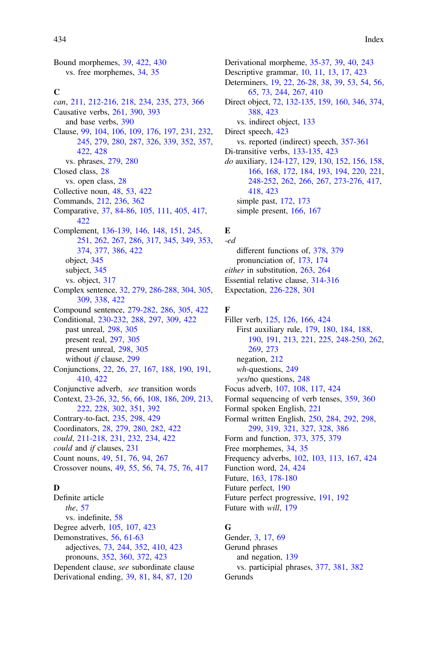Bound morphemes, 39, [422](#page-16-0), [430](#page-24-0) vs. free morphemes, 34, 35

### $\mathbf C$

can, 211, 212-216, 218, 234, 235, 273, 366 Causative verbs, 261, 390, 393 and base verbs, 390 Clause, 99, 104, 106, 109, 176, 197, 231, 232, 245, 279, 280, 287, 326, 339, 352, 357, [422](#page-16-0), [428](#page-22-0) vs. phrases, 279, 280 Closed class, 28 vs. open class, 28 Collective noun, 48, 53, [422](#page-16-0) Commands, 212, 236, 362 Comparative, 37, 84-86, 105, 111, 405, 417, [422](#page-16-0) Complement, 136-139, 146, 148, 151, 245, 251, 262, 267, 286, 317, 345, 349, 353, 374, 377, 386, [422](#page-16-0) object, 345 subject, 345 vs. object, 317 Complex sentence, 32, 279, 286-288, 304, 305, 309, 338, [422](#page-16-0) Compound sentence, 279-282, 286, 305, [422](#page-16-0) Conditional, 230-232, 288, 297, 309, [422](#page-16-0) past unreal, 298, 305 present real, 297, 305 present unreal, 298, 305 without if clause, 299 Conjunctions, 22, 26, 27, 167, 188, 190, 191, [410](#page-7-0), [422](#page-16-0) Conjunctive adverb, see transition words Context, 23-26, 32, 56, 66, 108, 186, 209, 213, 222, 228, 302, 351, 392 Contrary-to-fact, 235, 298, [429](#page-23-0) Coordinators, 28, 279, 280, 282, [422](#page-16-0) could, 211-218, 231, 232, 234, [422](#page-16-0) could and if clauses, 231 Count nouns, 49, 51, 76, 94, 267 Crossover nouns, 49, 55, 56, 74, 75, 76, 417

### D

Definite article the, 57 vs. indefinite, 58 Degree adverb, 105, 107, [423](#page-17-0) Demonstratives, 56, 61-63 adjectives, 73, 244, 352, [410,](#page-7-0) [423](#page-17-0) pronouns, 352, 360, 372, [423](#page-17-0) Dependent clause, see subordinate clause Derivational ending, 39, 81, 84, 87, 120

Derivational morpheme, 35-37, 39, 40, 243 Descriptive grammar, 10, 11, 13, 17, [423](#page-17-0) Determiners, 19, 22, 26-28, 38, 39, 53, 54, 56, 65, 73, 244, 267, [410](#page-7-0) Direct object, 72, 132-135, 159, 160, 346, 374, 388, [423](#page-17-0) vs. indirect object, 133 Direct speech, [423](#page-17-0) vs. reported (indirect) speech, 357-361 Di-transitive verbs, 133-135, [423](#page-17-0) do auxiliary, 124-127, 129, 130, 152, 156, 158, 166, 168, 172, 184, 193, 194, 220, 221, 248-252, 262, 266, 267, 273-276, 417, [418,](#page-13-0) [423](#page-17-0) simple past, 172, 173 simple present, 166, 167

## E

-ed different functions of, 378, 379 pronunciation of, 173, 174 either in substitution, 263, 264 Essential relative clause, 314-316 Expectation, 226-228, 301

### F

Filler verb, 125, 126, 166, [424](#page-18-0) First auxiliary rule, 179, 180, 184, 188, 190, 191, 213, 221, 225, 248-250, 262, 269, 273 negation, 212 wh-questions, 249 yes/no questions, 248 Focus adverb, 107, 108, 117, [424](#page-18-0) Formal sequencing of verb tenses, 359, 360 Formal spoken English, 221 Formal written English, 250, 284, 292, 298, 299, 319, 321, 327, 328, 386 Form and function, 373, 375, 379 Free morphemes, 34, 35 Frequency adverbs, 102, 103, 113, 167, [424](#page-18-0) Function word, 24, [424](#page-18-0) Future, 163, 178-180 Future perfect, 190 Future perfect progressive, 191, 192 Future with will, 179

### G

Gender, 3, 17, 69 Gerund phrases and negation, 139 vs. participial phrases, 377, 381, 382 **Gerunds**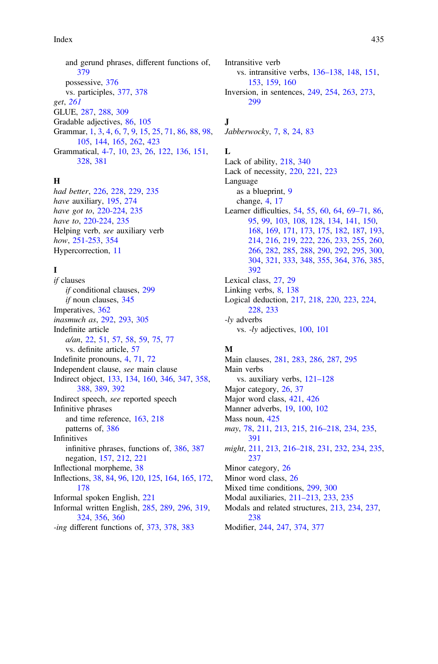#### Index 435

and gerund phrases, different functions of, 379 possessive, 376 vs. participles, 377, 378 get, 261 GLUE, 287, 288, 309 Gradable adjectives, 86, 105 Grammar, 1, 3, 4, 6, 7, 9, 15, 25, 71, 86, 88, 98, 105, 144, 165, 262, [423](#page-17-0) Grammatical, 4-7, 10, 23, 26, 122, 136, 151, 328, 381

### H

had better, 226, 228, 229, 235 have auxiliary, 195, 274 have got to, 220-224, 235 have to, 220-224, 235 Helping verb, see auxiliary verb how, 251-253, 354 Hypercorrection, 11

### I

if clauses if conditional clauses, 299 if noun clauses, 345 Imperatives, 362 inasmuch as, 292, 293, 305 Indefinite article a/an, 22, 51, 57, 58, 59, 75, 77 vs. definite article, 57 Indefinite pronouns, 4, 71, 72 Independent clause, see main clause Indirect object, 133, 134, 160, 346, 347, 358, 388, 389, 392 Indirect speech, see reported speech Infinitive phrases and time reference, 163, 218 patterns of, 386 Infinitives infinitive phrases, functions of, 386, 387 negation, 157, 212, 221 Inflectional morpheme, 38 Inflections, 38, 84, 96, 120, 125, 164, 165, 172, 178 Informal spoken English, 221 Informal written English, 285, 289, 296, 319, 324, 356, 360 -ing different functions of, 373, 378, 383

Intransitive verb vs. intransitive verbs, 136–138, 148, 151, 153, 159, 160 Inversion, in sentences, 249, 254, 263, 273, 299

### J

Jabberwocky, 7, 8, 24, 83

#### L

Lack of ability, 218, 340 Lack of necessity, 220, 221, 223 Language as a blueprint, 9 change, 4, 17 Learner difficulties, 54, 55, 60, 64, 69–71, 86, 95, 99, 103, 108, 128, 134, 141, 150, 168, 169, 171, 173, 175, 182, 187, 193, 214, 216, 219, 222, 226, 233, 255, 260, 266, 282, 285, 288, 290, 292, 295, 300, 304, 321, 333, 348, 355, 364, 376, 385, 392 Lexical class, 27, 29 Linking verbs, 8, 138 Logical deduction, 217, 218, 220, 223, 224, 228, 233 -ly adverbs vs. -ly adjectives, 100, 101

#### M

Main clauses, 281, 283, 286, 287, 295 Main verbs vs. auxiliary verbs, 121–128 Major category, 26, 37 Major word class, 421, [426](#page-20-0) Manner adverbs, 19, 100, 102 Mass noun, [425](#page-19-0) may, 78, 211, 213, 215, 216–218, 234, 235, 391 might, 211, 213, 216–218, 231, 232, 234, 235, 237 Minor category, 26 Minor word class, 26 Mixed time conditions, 299, 300 Modal auxiliaries, 211–213, 233, 235 Modals and related structures, 213, 234, 237, 238 Modifier, 244, 247, 374, 377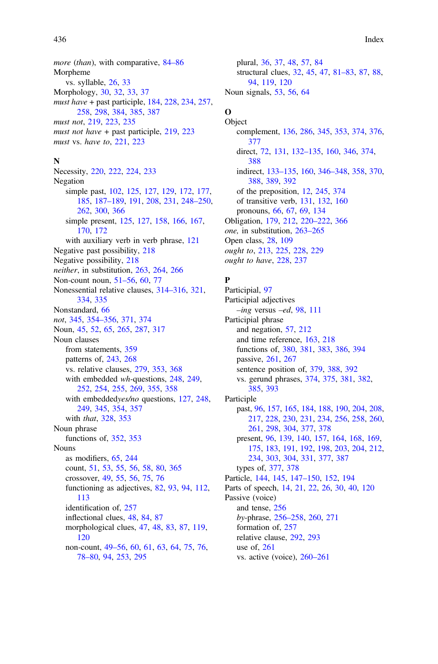more (than), with comparative, 84–86 Morpheme vs. syllable, 26, 33 Morphology, 30, 32, 33, 37 must have + past participle, 184, 228, 234, 257, 258, 298, 384, 385, 387 must not, 219, 223, 235 must not have + past participle, 219, 223 must vs. have to, 221, 223

#### N

Necessity, 220, 222, 224, 233 Negation simple past, 102, 125, 127, 129, 172, 177, 185, 187–189, 191, 208, 231, 248–250, 262, 300, 366 simple present, 125, 127, 158, 166, 167, 170, 172 with auxiliary verb in verb phrase, 121 Negative past possibility, 218 Negative possibility, 218 neither, in substitution, 263, 264, 266 Non-count noun, 51–56, 60, 77 Nonessential relative clauses, 314–316, 321, 334, 335 Nonstandard, 66 not, 345, 354–356, 371, 374 Noun, 45, 52, 65, 265, 287, 317 Noun clauses from statements, 359 patterns of, 243, 268 vs. relative clauses, 279, 353, 368 with embedded wh-questions, 248, 249, 252, 254, 255, 269, 355, 358 with embeddedyes/no questions, 127, 248, 249, 345, 354, 357 with that, 328, 353 Noun phrase functions of, 352, 353 Nouns as modifiers, 65, 244 count, 51, 53, 55, 56, 58, 80, 365 crossover, 49, 55, 56, 75, 76 functioning as adjectives, 82, 93, 94, 112, 113 identification of, 257 inflectional clues, 48, 84, 87 morphological clues, 47, 48, 83, 87, 119, 120 non-count, 49–56, 60, 61, 63, 64, 75, 76, 78–80, 94, 253, 295

plural, 36, 37, 48, 57, 84 structural clues, 32, 45, 47, 81–83, 87, 88, 94, 119, 120 Noun signals, 53, 56, 64

## O

Object complement, 136, 286, 345, 353, 374, 376, 377 direct, 72, 131, 132–135, 160, 346, 374, 388 indirect, 133–135, 160, 346–348, 358, 370, 388, 389, 392 of the preposition, 12, 245, 374 of transitive verb, 131, 132, 160 pronouns, 66, 67, 69, 134 Obligation, 179, 212, 220–222, 366 one, in substitution, 263–265 Open class, 28, 109 ought to, 213, 225, 228, 229 ought to have, 228, 237

### P

Participial, 97 Participial adjectives  $-$ *ing* versus  $-e$ *d*, 98, 111 Participial phrase and negation, 57, 212 and time reference, 163, 218 functions of, 380, 381, 383, 386, 394 passive, 261, 267 sentence position of, 379, 388, 392 vs. gerund phrases, 374, 375, 381, 382, 385, 393 Participle past, 96, 157, 165, 184, 188, 190, 204, 208, 217, 228, 230, 231, 234, 256, 258, 260, 261, 298, 304, 377, 378 present, 96, 139, 140, 157, 164, 168, 169, 175, 183, 191, 192, 198, 203, 204, 212, 234, 303, 304, 331, 377, 387 types of, 377, 378 Particle, 144, 145, 147–150, 152, 194 Parts of speech, 14, 21, 22, 26, 30, 40, 120 Passive (voice) and tense, 256 by-phrase, 256–258, 260, 271 formation of, 257 relative clause, 292, 293 use of, 261 vs. active (voice), 260–261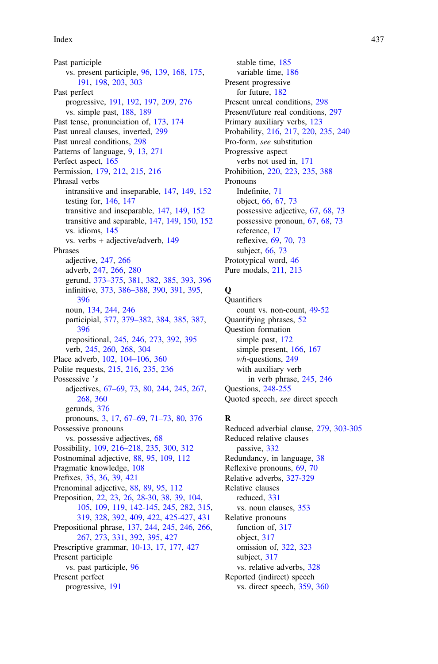#### Index 437

Past participle vs. present participle, 96, 139, 168, 175, 191, 198, 203, 303 Past perfect progressive, 191, 192, 197, 209, 276 vs. simple past, 188, 189 Past tense, pronunciation of, 173, 174 Past unreal clauses, inverted, 299 Past unreal conditions, 298 Patterns of language, 9, 13, 271 Perfect aspect, 165 Permission, 179, 212, 215, 216 Phrasal verbs intransitive and inseparable, 147, 149, 152 testing for, 146, 147 transitive and inseparable, 147, 149, 152 transitive and separable, 147, 149, 150, 152 vs. idioms, 145 vs. verbs + adjective/adverb, 149 Phrases adjective, 247, 266 adverb, 247, 266, 280 gerund, 373–375, 381, 382, 385, 393, 396 infinitive, 373, 386–388, 390, 391, 395, 396 noun, 134, 244, 246 participial, 377, 379–382, 384, 385, 387, 396 prepositional, 245, 246, 273, 392, 395 verb, 245, 260, 268, 304 Place adverb, 102, 104–106, 360 Polite requests, 215, 216, 235, 236 Possessive 's adjectives, 67–69, 73, 80, 244, 245, 267, 268, 360 gerunds, 376 pronouns, 3, 17, 67–69, 71–73, 80, 376 Possessive pronouns vs. possessive adjectives, 68 Possibility, 109, 216–218, 235, 300, 312 Postnominal adjective, 88, 95, 109, 112 Pragmatic knowledge, 108 Prefixes, 35, 36, 39, 421 Prenominal adjective, 88, 89, 95, 112 Preposition, 22, 23, 26, 28-30, 38, 39, 104, 105, 109, 119, 142-145, 245, 282, 315, 319, 328, 392, 409, [422,](#page-16-0) 425-427, [431](#page-25-0) Prepositional phrase, 137, 244, 245, 246, 266, 267, 273, 331, 392, 395, [427](#page-21-0) Prescriptive grammar, 10-13, 17, 177, [427](#page-21-0) Present participle vs. past participle, 96 Present perfect progressive, 191

stable time, 185 variable time, 186 Present progressive for future, 182 Present unreal conditions, 298 Present/future real conditions, 297 Primary auxiliary verbs, 123 Probability, 216, 217, 220, 235, 240 Pro-form, see substitution Progressive aspect verbs not used in, 171 Prohibition, 220, 223, 235, 388 Pronouns Indefinite, 71 object, 66, 67, 73 possessive adjective, 67, 68, 73 possessive pronoun, 67, 68, 73 reference, 17 reflexive, 69, 70, 73 subject, 66, 73 Prototypical word, 46 Pure modals, 211, 213

## $\Omega$

**Quantifiers** count vs. non-count, 49-52 Quantifying phrases, 52 Question formation simple past, 172 simple present, 166, 167 wh-questions, 249 with auxiliary verb in verb phrase, 245, 246 Questions, 248-255 Quoted speech, see direct speech

### R

Reduced adverbial clause, 279, 303-305 Reduced relative clauses passive, 332 Redundancy, in language, 38 Reflexive pronouns, 69, 70 Relative adverbs, 327-329 Relative clauses reduced, 331 vs. noun clauses, 353 Relative pronouns function of, 317 object, 317 omission of, 322, 323 subject, 317 vs. relative adverbs, 328 Reported (indirect) speech vs. direct speech, 359, 360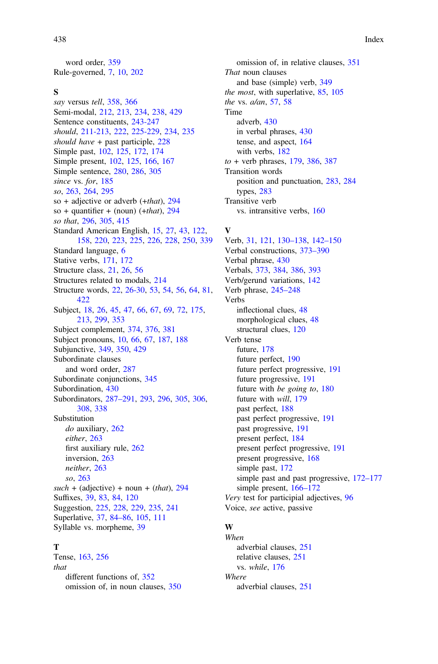word order, 359 Rule-governed, 7, 10, 202

#### S

say versus tell, 358, 366 Semi-modal, 212, 213, 234, 238, [429](#page-23-0) Sentence constituents, 243-247 should, 211-213, 222, 225-229, 234, 235 should have + past participle, 228 Simple past, 102, 125, 172, 174 Simple present, 102, 125, 166, 167 Simple sentence, 280, 286, 305 since vs. for, 185 so, 263, 264, 295 so + adjective or adverb  $(+that)$ , 294 so + quantifier + (noun) (+that),  $294$ so that, 296, 305, 415 Standard American English, 15, 27, 43, 122, 158, 220, 223, 225, 226, 228, 250, 339 Standard language, 6 Stative verbs, 171, 172 Structure class, 21, 26, 56 Structures related to modals, 214 Structure words, 22, 26-30, 53, 54, 56, 64, 81, [422](#page-16-0) Subject, 18, 26, 45, 47, 66, 67, 69, 72, 175, 213, 299, 353 Subject complement, 374, 376, 381 Subject pronouns, 10, 66, 67, 187, 188 Subjunctive, 349, 350, [429](#page-23-0) Subordinate clauses and word order, 287 Subordinate conjunctions, 345 Subordination, [430](#page-24-0) Subordinators, 287–291, 293, 296, 305, 306, 308, 338 Substitution do auxiliary, 262 either, 263 first auxiliary rule, 262 inversion, 263 neither, 263 so, 263  $such + (adjective) + noun + (that), 294$ Suffixes, 39, 83, 84, 120 Suggestion, 225, 228, 229, 235, 241 Superlative, 37, 84–86, 105, 111 Syllable vs. morpheme, 39

#### T

Tense, 163, 256 that different functions of, 352 omission of, in noun clauses, 350

omission of, in relative clauses, 351 That noun clauses and base (simple) verb, 349 the most, with superlative, 85, 105 the vs. a/an, 57, 58 Time adverb, [430](#page-24-0) in verbal phrases, [430](#page-24-0) tense, and aspect, 164 with verbs, 182 to + verb phrases, 179, 386, 387 Transition words position and punctuation, 283, 284 types, 283 Transitive verb vs. intransitive verbs, 160

#### V

Verb, 31, 121, 130–138, 142–150 Verbal constructions, 373–390 Verbal phrase, [430](#page-24-0) Verbals, 373, 384, 386, 393 Verb/gerund variations, 142 Verb phrase, 245–248 Verbs inflectional clues, 48 morphological clues, 48 structural clues, 120 Verb tense future, 178 future perfect, 190 future perfect progressive, 191 future progressive, 191 future with *be going to*, 180 future with will, 179 past perfect, 188 past perfect progressive, 191 past progressive, 191 present perfect, 184 present perfect progressive, 191 present progressive, 168 simple past, 172 simple past and past progressive, 172–177 simple present, 166–172 Very test for participial adjectives, 96 Voice, see active, passive

## W

When adverbial clauses, 251 relative clauses, 251 vs. while, 176 Where adverbial clauses, 251